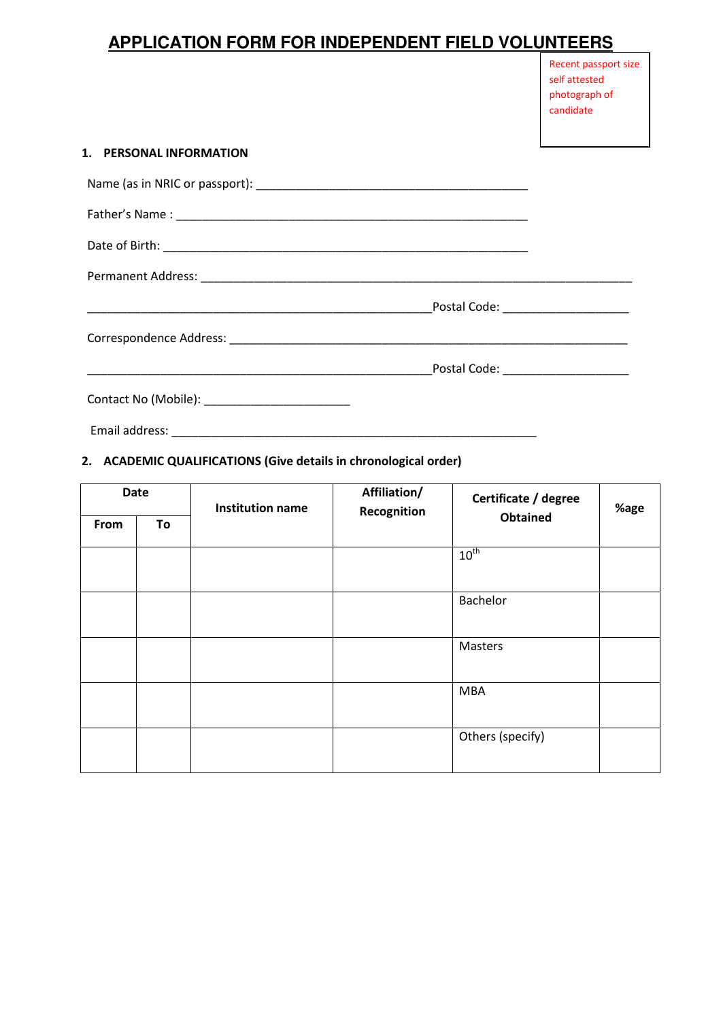# **APPLICATION FORM FOR INDEPENDENT FIELD VOLUNTEERS**

| Recent passport size |
|----------------------|
| self attested        |
| photograph of        |
| candidate            |

#### 1. PERSONAL INFORMATION

|                                                 | Postal Code: ______________________ |
|-------------------------------------------------|-------------------------------------|
| Contact No (Mobile): __________________________ |                                     |

Email address: \_\_\_\_\_\_\_\_\_\_\_\_\_\_\_\_\_\_\_\_\_\_\_\_\_\_\_\_\_\_\_\_\_\_\_\_\_\_\_\_\_\_\_\_\_\_\_\_\_\_\_\_\_\_\_

## 2. ACADEMIC QUALIFICATIONS (Give details in chronological order)

| <b>Date</b> |    | <b>Institution name</b> | Affiliation/<br>Recognition | Certificate / degree | %age |
|-------------|----|-------------------------|-----------------------------|----------------------|------|
| From        | To |                         |                             | <b>Obtained</b>      |      |
|             |    |                         |                             | $10^{th}$            |      |
|             |    |                         |                             | Bachelor             |      |
|             |    |                         |                             | Masters              |      |
|             |    |                         |                             | <b>MBA</b>           |      |
|             |    |                         |                             | Others (specify)     |      |